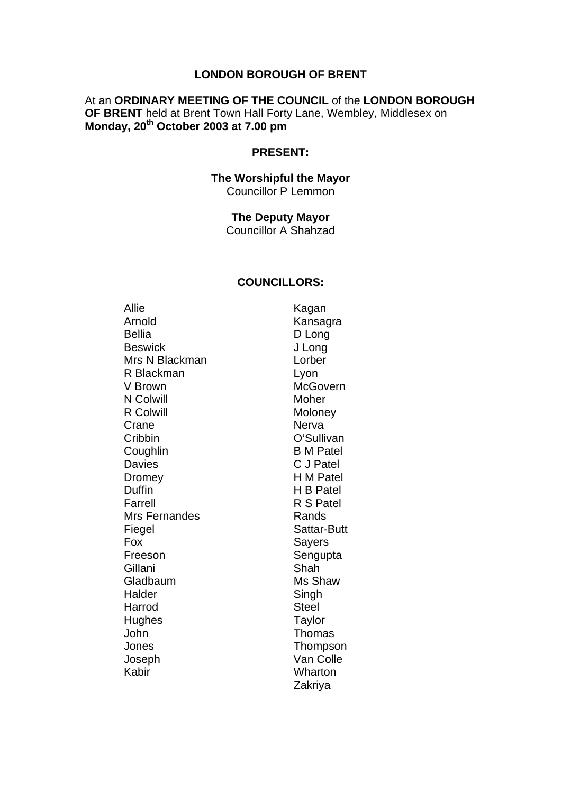#### **LONDON BOROUGH OF BRENT**

#### At an **ORDINARY MEETING OF THE COUNCIL** of the **LONDON BOROUGH OF BRENT** held at Brent Town Hall Forty Lane, Wembley, Middlesex on **Monday, 20th October 2003 at 7.00 pm**

#### **PRESENT:**

#### **The Worshipful the Mayor**  Councillor P Lemmon

## **The Deputy Mayor**

Councillor A Shahzad

#### **COUNCILLORS:**

Allie Kagan Arnold Kansagra Bellia D Long Beswick J Long Mrs N Blackman Lorber R Blackman Lyon V Brown McGovern N Colwill Moher R Colwill **Moloney** Moloney Crane Nerva Cribbin O'Sullivan Coughlin B M Patel Davies C J Patel Dromey H M Patel Duffin H B Patel Farrell R S Patel Mrs Fernandes Rands Fiegel Sattar-Butt Fox Sayers Freeson Sengupta Gillani Shah Gladbaum Ms Shaw Halder Singh Harrod Steel Hughes Taylor John Thomas Jones Thompson Joseph Van Colle Kabir Wharton

Zakriya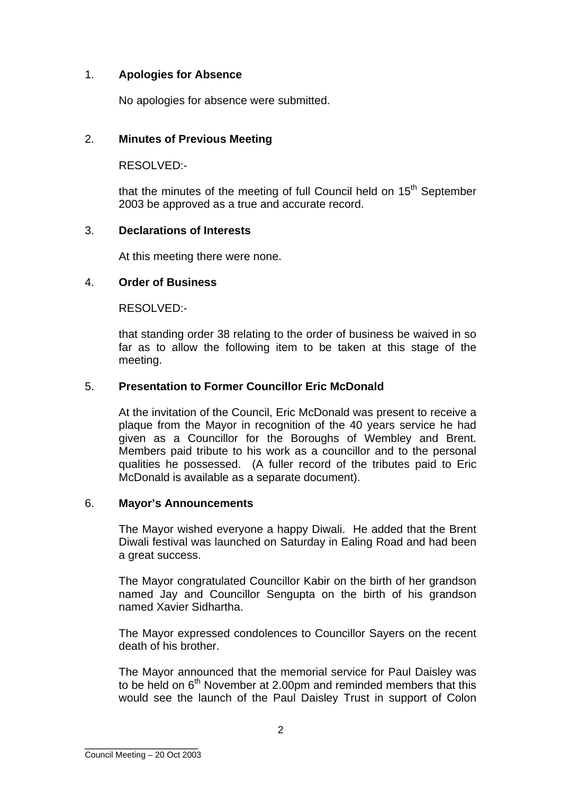# 1. **Apologies for Absence**

No apologies for absence were submitted.

## 2. **Minutes of Previous Meeting**

RESOLVED:-

that the minutes of the meeting of full Council held on  $15<sup>th</sup>$  September 2003 be approved as a true and accurate record.

## 3. **Declarations of Interests**

At this meeting there were none.

## 4. **Order of Business**

RESOLVED:-

that standing order 38 relating to the order of business be waived in so far as to allow the following item to be taken at this stage of the meeting.

## 5. **Presentation to Former Councillor Eric McDonald**

At the invitation of the Council, Eric McDonald was present to receive a plaque from the Mayor in recognition of the 40 years service he had given as a Councillor for the Boroughs of Wembley and Brent. Members paid tribute to his work as a councillor and to the personal qualities he possessed. (A fuller record of the tributes paid to Eric McDonald is available as a separate document).

## 6. **Mayor's Announcements**

The Mayor wished everyone a happy Diwali. He added that the Brent Diwali festival was launched on Saturday in Ealing Road and had been a great success.

The Mayor congratulated Councillor Kabir on the birth of her grandson named Jay and Councillor Sengupta on the birth of his grandson named Xavier Sidhartha.

The Mayor expressed condolences to Councillor Sayers on the recent death of his brother.

The Mayor announced that the memorial service for Paul Daisley was to be held on  $6<sup>th</sup>$  November at 2.00pm and reminded members that this would see the launch of the Paul Daisley Trust in support of Colon

\_\_\_\_\_\_\_\_\_\_\_\_\_\_\_\_\_\_ Council Meeting – 20 Oct 2003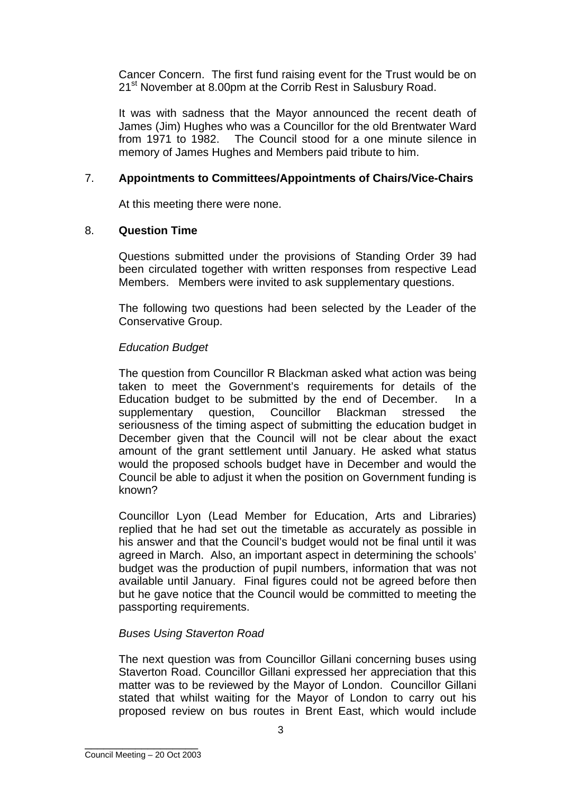Cancer Concern. The first fund raising event for the Trust would be on 21<sup>st</sup> November at 8.00pm at the Corrib Rest in Salusbury Road.

It was with sadness that the Mayor announced the recent death of James (Jim) Hughes who was a Councillor for the old Brentwater Ward from 1971 to 1982. The Council stood for a one minute silence in memory of James Hughes and Members paid tribute to him.

# 7. **Appointments to Committees/Appointments of Chairs/Vice-Chairs**

At this meeting there were none.

## 8. **Question Time**

Questions submitted under the provisions of Standing Order 39 had been circulated together with written responses from respective Lead Members. Members were invited to ask supplementary questions.

The following two questions had been selected by the Leader of the Conservative Group.

## *Education Budget*

The question from Councillor R Blackman asked what action was being taken to meet the Government's requirements for details of the Education budget to be submitted by the end of December. In a supplementary question, Councillor Blackman stressed the seriousness of the timing aspect of submitting the education budget in December given that the Council will not be clear about the exact amount of the grant settlement until January. He asked what status would the proposed schools budget have in December and would the Council be able to adjust it when the position on Government funding is known?

Councillor Lyon (Lead Member for Education, Arts and Libraries) replied that he had set out the timetable as accurately as possible in his answer and that the Council's budget would not be final until it was agreed in March. Also, an important aspect in determining the schools' budget was the production of pupil numbers, information that was not available until January. Final figures could not be agreed before then but he gave notice that the Council would be committed to meeting the passporting requirements.

## *Buses Using Staverton Road*

The next question was from Councillor Gillani concerning buses using Staverton Road. Councillor Gillani expressed her appreciation that this matter was to be reviewed by the Mayor of London. Councillor Gillani stated that whilst waiting for the Mayor of London to carry out his proposed review on bus routes in Brent East, which would include

\_\_\_\_\_\_\_\_\_\_\_\_\_\_\_\_\_\_ Council Meeting – 20 Oct 2003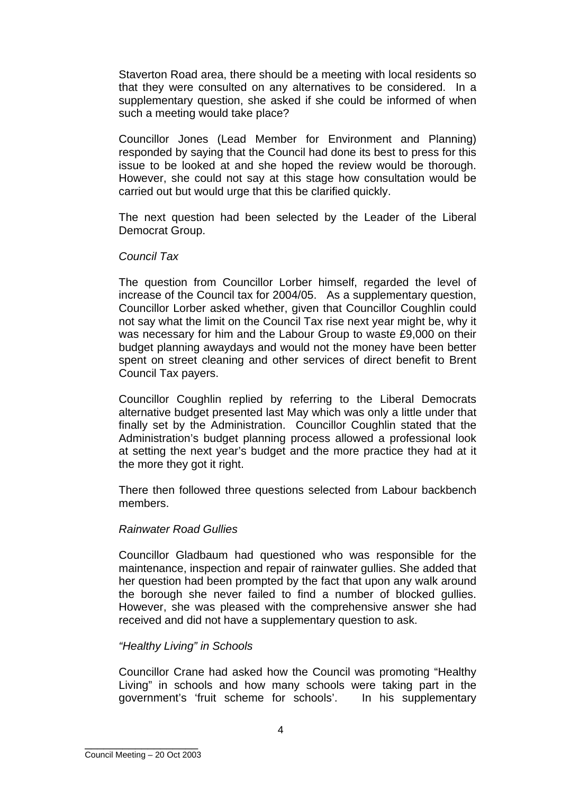Staverton Road area, there should be a meeting with local residents so that they were consulted on any alternatives to be considered. In a supplementary question, she asked if she could be informed of when such a meeting would take place?

Councillor Jones (Lead Member for Environment and Planning) responded by saying that the Council had done its best to press for this issue to be looked at and she hoped the review would be thorough. However, she could not say at this stage how consultation would be carried out but would urge that this be clarified quickly.

The next question had been selected by the Leader of the Liberal Democrat Group.

#### *Council Tax*

The question from Councillor Lorber himself, regarded the level of increase of the Council tax for 2004/05. As a supplementary question, Councillor Lorber asked whether, given that Councillor Coughlin could not say what the limit on the Council Tax rise next year might be, why it was necessary for him and the Labour Group to waste £9,000 on their budget planning awaydays and would not the money have been better spent on street cleaning and other services of direct benefit to Brent Council Tax payers.

Councillor Coughlin replied by referring to the Liberal Democrats alternative budget presented last May which was only a little under that finally set by the Administration. Councillor Coughlin stated that the Administration's budget planning process allowed a professional look at setting the next year's budget and the more practice they had at it the more they got it right.

There then followed three questions selected from Labour backbench members.

#### *Rainwater Road Gullies*

Councillor Gladbaum had questioned who was responsible for the maintenance, inspection and repair of rainwater gullies. She added that her question had been prompted by the fact that upon any walk around the borough she never failed to find a number of blocked gullies. However, she was pleased with the comprehensive answer she had received and did not have a supplementary question to ask.

## *"Healthy Living" in Schools*

Councillor Crane had asked how the Council was promoting "Healthy Living" in schools and how many schools were taking part in the government's 'fruit scheme for schools'. In his supplementary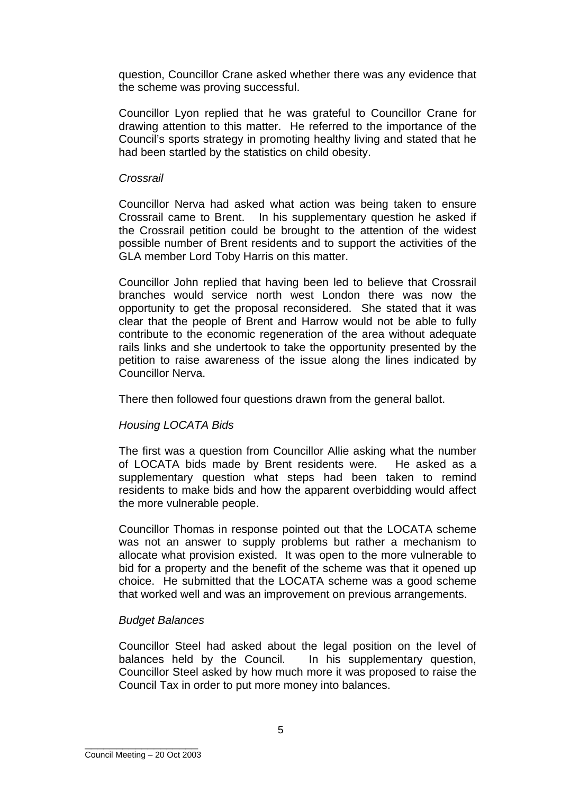question, Councillor Crane asked whether there was any evidence that the scheme was proving successful.

Councillor Lyon replied that he was grateful to Councillor Crane for drawing attention to this matter. He referred to the importance of the Council's sports strategy in promoting healthy living and stated that he had been startled by the statistics on child obesity.

#### *Crossrail*

Councillor Nerva had asked what action was being taken to ensure Crossrail came to Brent. In his supplementary question he asked if the Crossrail petition could be brought to the attention of the widest possible number of Brent residents and to support the activities of the GLA member Lord Toby Harris on this matter.

Councillor John replied that having been led to believe that Crossrail branches would service north west London there was now the opportunity to get the proposal reconsidered. She stated that it was clear that the people of Brent and Harrow would not be able to fully contribute to the economic regeneration of the area without adequate rails links and she undertook to take the opportunity presented by the petition to raise awareness of the issue along the lines indicated by Councillor Nerva.

There then followed four questions drawn from the general ballot.

## *Housing LOCATA Bids*

The first was a question from Councillor Allie asking what the number of LOCATA bids made by Brent residents were. He asked as a supplementary question what steps had been taken to remind residents to make bids and how the apparent overbidding would affect the more vulnerable people.

Councillor Thomas in response pointed out that the LOCATA scheme was not an answer to supply problems but rather a mechanism to allocate what provision existed. It was open to the more vulnerable to bid for a property and the benefit of the scheme was that it opened up choice. He submitted that the LOCATA scheme was a good scheme that worked well and was an improvement on previous arrangements.

#### *Budget Balances*

Councillor Steel had asked about the legal position on the level of balances held by the Council. In his supplementary question, Councillor Steel asked by how much more it was proposed to raise the Council Tax in order to put more money into balances.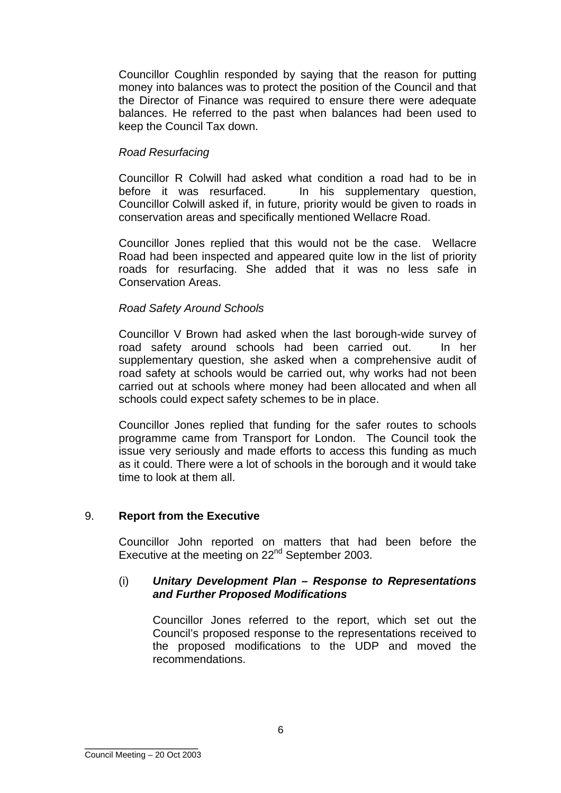Councillor Coughlin responded by saying that the reason for putting money into balances was to protect the position of the Council and that the Director of Finance was required to ensure there were adequate balances. He referred to the past when balances had been used to keep the Council Tax down.

# *Road Resurfacing*

Councillor R Colwill had asked what condition a road had to be in before it was resurfaced. In his supplementary question, Councillor Colwill asked if, in future, priority would be given to roads in conservation areas and specifically mentioned Wellacre Road.

Councillor Jones replied that this would not be the case. Wellacre Road had been inspected and appeared quite low in the list of priority roads for resurfacing. She added that it was no less safe in Conservation Areas.

## *Road Safety Around Schools*

Councillor V Brown had asked when the last borough-wide survey of road safety around schools had been carried out. In her supplementary question, she asked when a comprehensive audit of road safety at schools would be carried out, why works had not been carried out at schools where money had been allocated and when all schools could expect safety schemes to be in place.

Councillor Jones replied that funding for the safer routes to schools programme came from Transport for London. The Council took the issue very seriously and made efforts to access this funding as much as it could. There were a lot of schools in the borough and it would take time to look at them all.

## 9. **Report from the Executive**

Councillor John reported on matters that had been before the Executive at the meeting on 22<sup>nd</sup> September 2003.

#### (i) *Unitary Development Plan – Response to Representations and Further Proposed Modifications*

Councillor Jones referred to the report, which set out the Council's proposed response to the representations received to the proposed modifications to the UDP and moved the recommendations.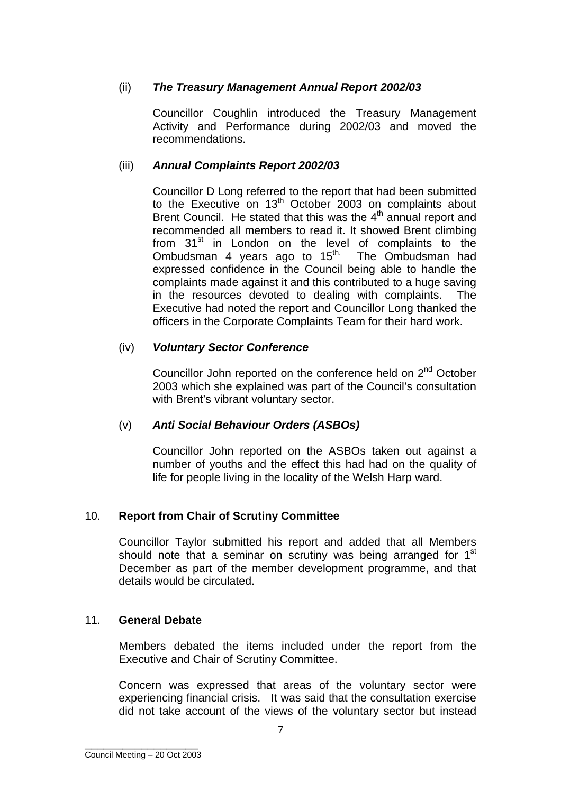# (ii) *The Treasury Management Annual Report 2002/03*

Councillor Coughlin introduced the Treasury Management Activity and Performance during 2002/03 and moved the recommendations.

## (iii) *Annual Complaints Report 2002/03*

Councillor D Long referred to the report that had been submitted to the Executive on  $13<sup>th</sup>$  October 2003 on complaints about Brent Council. He stated that this was the 4<sup>th</sup> annual report and recommended all members to read it. It showed Brent climbing from  $31<sup>st</sup>$  in London on the level of complaints to the Ombudsman 4 years ago to  $15<sup>th</sup>$ . The Ombudsman had expressed confidence in the Council being able to handle the complaints made against it and this contributed to a huge saving in the resources devoted to dealing with complaints. The Executive had noted the report and Councillor Long thanked the officers in the Corporate Complaints Team for their hard work.

# (iv) *Voluntary Sector Conference*

Councillor John reported on the conference held on 2<sup>nd</sup> October 2003 which she explained was part of the Council's consultation with Brent's vibrant voluntary sector.

# (v) *Anti Social Behaviour Orders (ASBOs)*

Councillor John reported on the ASBOs taken out against a number of youths and the effect this had had on the quality of life for people living in the locality of the Welsh Harp ward.

# 10. **Report from Chair of Scrutiny Committee**

Councillor Taylor submitted his report and added that all Members should note that a seminar on scrutiny was being arranged for 1<sup>st</sup> December as part of the member development programme, and that details would be circulated.

## 11. **General Debate**

Members debated the items included under the report from the Executive and Chair of Scrutiny Committee.

Concern was expressed that areas of the voluntary sector were experiencing financial crisis. It was said that the consultation exercise did not take account of the views of the voluntary sector but instead

\_\_\_\_\_\_\_\_\_\_\_\_\_\_\_\_\_\_ Council Meeting – 20 Oct 2003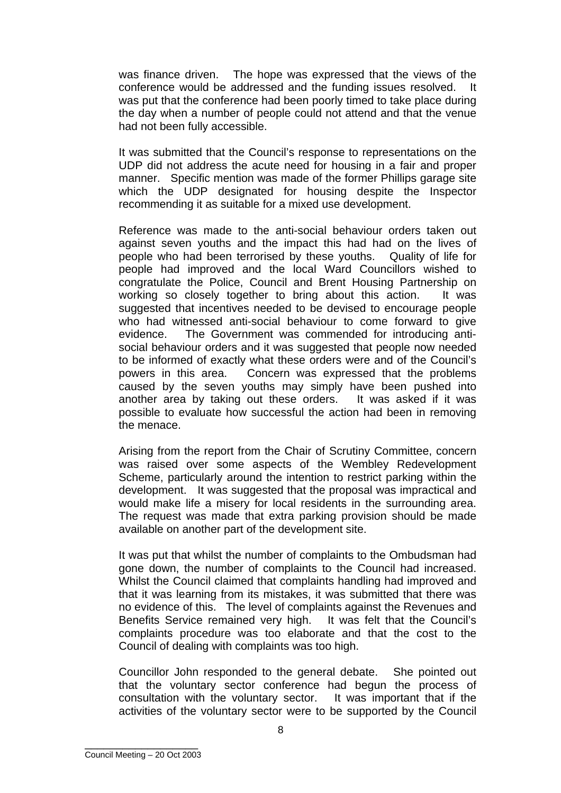was finance driven. The hope was expressed that the views of the conference would be addressed and the funding issues resolved. It was put that the conference had been poorly timed to take place during the day when a number of people could not attend and that the venue had not been fully accessible.

It was submitted that the Council's response to representations on the UDP did not address the acute need for housing in a fair and proper manner. Specific mention was made of the former Phillips garage site which the UDP designated for housing despite the Inspector recommending it as suitable for a mixed use development.

Reference was made to the anti-social behaviour orders taken out against seven youths and the impact this had had on the lives of people who had been terrorised by these youths. Quality of life for people had improved and the local Ward Councillors wished to congratulate the Police, Council and Brent Housing Partnership on working so closely together to bring about this action. It was suggested that incentives needed to be devised to encourage people who had witnessed anti-social behaviour to come forward to give evidence. The Government was commended for introducing antisocial behaviour orders and it was suggested that people now needed to be informed of exactly what these orders were and of the Council's powers in this area. Concern was expressed that the problems caused by the seven youths may simply have been pushed into another area by taking out these orders. It was asked if it was possible to evaluate how successful the action had been in removing the menace.

Arising from the report from the Chair of Scrutiny Committee, concern was raised over some aspects of the Wembley Redevelopment Scheme, particularly around the intention to restrict parking within the development. It was suggested that the proposal was impractical and would make life a misery for local residents in the surrounding area. The request was made that extra parking provision should be made available on another part of the development site.

It was put that whilst the number of complaints to the Ombudsman had gone down, the number of complaints to the Council had increased. Whilst the Council claimed that complaints handling had improved and that it was learning from its mistakes, it was submitted that there was no evidence of this. The level of complaints against the Revenues and Benefits Service remained very high. It was felt that the Council's complaints procedure was too elaborate and that the cost to the Council of dealing with complaints was too high.

Councillor John responded to the general debate. She pointed out that the voluntary sector conference had begun the process of consultation with the voluntary sector. It was important that if the activities of the voluntary sector were to be supported by the Council

\_\_\_\_\_\_\_\_\_\_\_\_\_\_\_\_\_\_ Council Meeting – 20 Oct 2003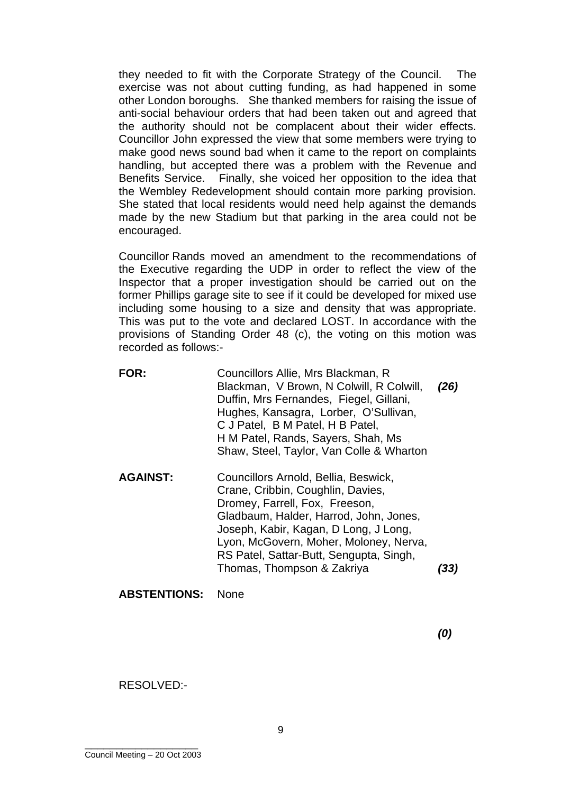they needed to fit with the Corporate Strategy of the Council. The exercise was not about cutting funding, as had happened in some other London boroughs. She thanked members for raising the issue of anti-social behaviour orders that had been taken out and agreed that the authority should not be complacent about their wider effects. Councillor John expressed the view that some members were trying to make good news sound bad when it came to the report on complaints handling, but accepted there was a problem with the Revenue and Benefits Service. Finally, she voiced her opposition to the idea that the Wembley Redevelopment should contain more parking provision. She stated that local residents would need help against the demands made by the new Stadium but that parking in the area could not be encouraged.

Councillor Rands moved an amendment to the recommendations of the Executive regarding the UDP in order to reflect the view of the Inspector that a proper investigation should be carried out on the former Phillips garage site to see if it could be developed for mixed use including some housing to a size and density that was appropriate. This was put to the vote and declared LOST. In accordance with the provisions of Standing Order 48 (c), the voting on this motion was recorded as follows:-

- **FOR:** Councillors Allie, Mrs Blackman, R Blackman, V Brown, N Colwill, R Colwill, Duffin, Mrs Fernandes, Fiegel, Gillani, Hughes, Kansagra, Lorber, O'Sullivan, C J Patel, B M Patel, H B Patel, H M Patel, Rands, Sayers, Shah, Ms Shaw, Steel, Taylor, Van Colle & Wharton *(26)*
- **AGAINST:** Councillors Arnold, Bellia, Beswick, Crane, Cribbin, Coughlin, Davies, Dromey, Farrell, Fox, Freeson, Gladbaum, Halder, Harrod, John, Jones, Joseph, Kabir, Kagan, D Long, J Long, Lyon, McGovern, Moher, Moloney, Nerva, RS Patel, Sattar-Butt, Sengupta, Singh, Thomas, Thompson & Zakriya *(33)*

#### **ABSTENTIONS:** None

*(0)* 

RESOLVED:-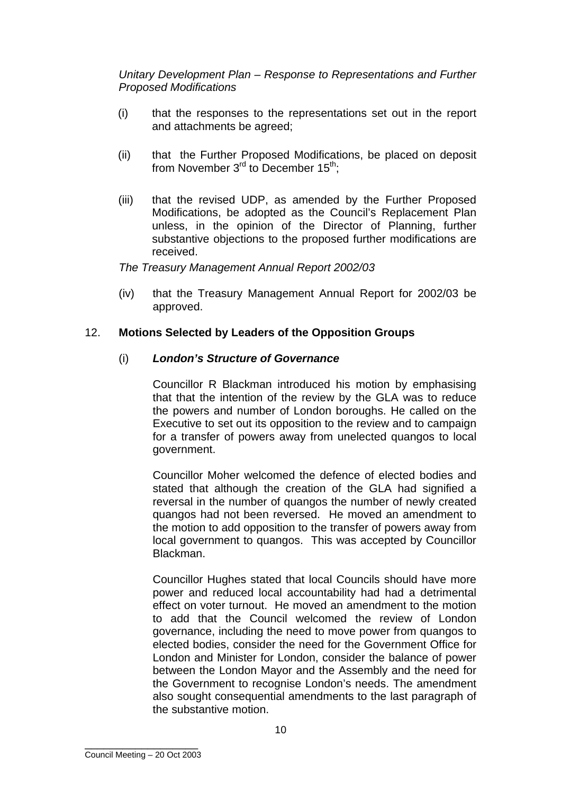*Unitary Development Plan – Response to Representations and Further Proposed Modifications* 

- (i) that the responses to the representations set out in the report and attachments be agreed;
- (ii) that the Further Proposed Modifications, be placed on deposit from November  $3<sup>rd</sup>$  to December  $15<sup>th</sup>$ ;
- (iii) that the revised UDP, as amended by the Further Proposed Modifications, be adopted as the Council's Replacement Plan unless, in the opinion of the Director of Planning, further substantive objections to the proposed further modifications are received.

*The Treasury Management Annual Report 2002/03*

(iv) that the Treasury Management Annual Report for 2002/03 be approved.

## 12. **Motions Selected by Leaders of the Opposition Groups**

#### (i) *London's Structure of Governance*

Councillor R Blackman introduced his motion by emphasising that that the intention of the review by the GLA was to reduce the powers and number of London boroughs. He called on the Executive to set out its opposition to the review and to campaign for a transfer of powers away from unelected quangos to local government.

Councillor Moher welcomed the defence of elected bodies and stated that although the creation of the GLA had signified a reversal in the number of quangos the number of newly created quangos had not been reversed. He moved an amendment to the motion to add opposition to the transfer of powers away from local government to quangos. This was accepted by Councillor Blackman.

Councillor Hughes stated that local Councils should have more power and reduced local accountability had had a detrimental effect on voter turnout. He moved an amendment to the motion to add that the Council welcomed the review of London governance, including the need to move power from quangos to elected bodies, consider the need for the Government Office for London and Minister for London, consider the balance of power between the London Mayor and the Assembly and the need for the Government to recognise London's needs. The amendment also sought consequential amendments to the last paragraph of the substantive motion.

\_\_\_\_\_\_\_\_\_\_\_\_\_\_\_\_\_\_ Council Meeting – 20 Oct 2003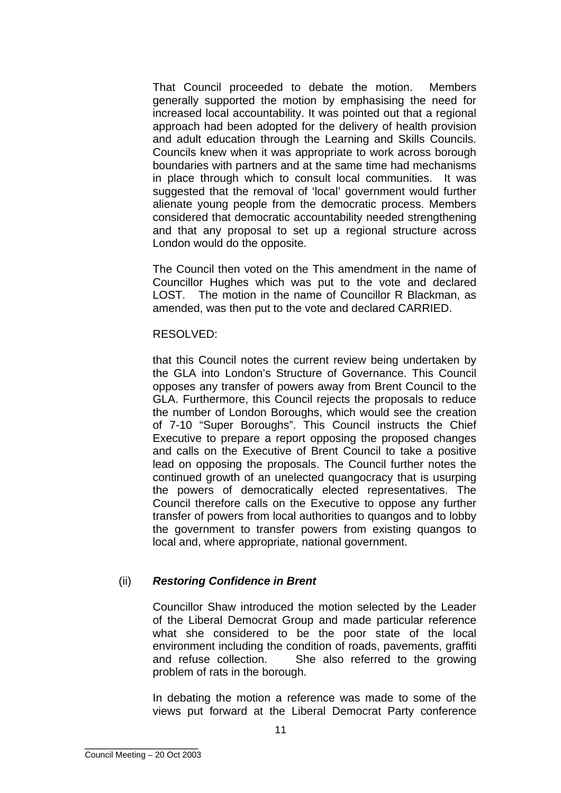That Council proceeded to debate the motion. Members generally supported the motion by emphasising the need for increased local accountability. It was pointed out that a regional approach had been adopted for the delivery of health provision and adult education through the Learning and Skills Councils. Councils knew when it was appropriate to work across borough boundaries with partners and at the same time had mechanisms in place through which to consult local communities. It was suggested that the removal of 'local' government would further alienate young people from the democratic process. Members considered that democratic accountability needed strengthening and that any proposal to set up a regional structure across London would do the opposite.

The Council then voted on the This amendment in the name of Councillor Hughes which was put to the vote and declared LOST. The motion in the name of Councillor R Blackman, as amended, was then put to the vote and declared CARRIED.

#### RESOLVED:

that this Council notes the current review being undertaken by the GLA into London's Structure of Governance. This Council opposes any transfer of powers away from Brent Council to the GLA. Furthermore, this Council rejects the proposals to reduce the number of London Boroughs, which would see the creation of 7-10 "Super Boroughs". This Council instructs the Chief Executive to prepare a report opposing the proposed changes and calls on the Executive of Brent Council to take a positive lead on opposing the proposals. The Council further notes the continued growth of an unelected quangocracy that is usurping the powers of democratically elected representatives. The Council therefore calls on the Executive to oppose any further transfer of powers from local authorities to quangos and to lobby the government to transfer powers from existing quangos to local and, where appropriate, national government.

## (ii) *Restoring Confidence in Brent*

Councillor Shaw introduced the motion selected by the Leader of the Liberal Democrat Group and made particular reference what she considered to be the poor state of the local environment including the condition of roads, pavements, graffiti and refuse collection. She also referred to the growing problem of rats in the borough.

In debating the motion a reference was made to some of the views put forward at the Liberal Democrat Party conference